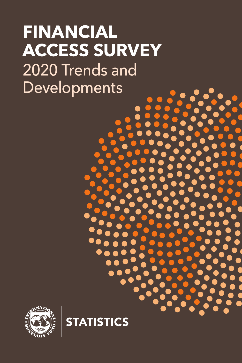# **FINANCIAL ACCESS SURVEY** 2020 Trends and Developments



**STATISTICS**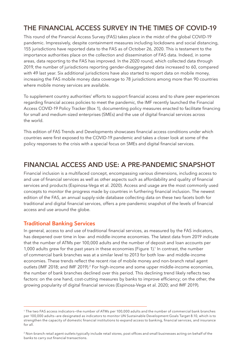# **THE FINANCIAL ACCESS SURVEY IN THE TIMES OF COVID-19**

This round of the Financial Access Survey (FAS) takes place in the midst of the global COVID-19 pandemic. Impressively, despite containment measures including lockdowns and social distancing, 155 jurisdictions have reported data to the FAS as of October 26, 2020. This is testament to the importance authorities place on the collection and dissemination of FAS data. Indeed, in some areas, data reporting to the FAS has improved. In the 2020 round, which collected data through 2019, the number of jurisdictions reporting gender-disaggregated data increased to 60, compared with 49 last year. Six additional jurisdictions have also started to report data on mobile money, increasing the FAS mobile money data coverage to 78 jurisdictions among more than 90 countries where mobile money services are available.

To supplement country authorities' efforts to support financial access and to share peer experiences regarding financial access policies to meet the pandemic, the IMF recently launched the Financial Access COVID-19 Policy Tracker (Box 1), documenting policy measures enacted to facilitate financing for small and medium-sized enterprises (SMEs) and the use of digital financial services across the world.

This edition of FAS Trends and Developments showcases financial access conditions under which countries were first exposed to the COVID-19 pandemic and takes a closer look at some of the policy responses to the crisis with a special focus on SMEs and digital financial services.

# **FINANCIAL ACCESS AND USE: A PRE-PANDEMIC SNAPSHOT**

Financial inclusion is a multifaced concept, encompassing various dimensions, including access to and use of financial services as well as other aspects such as affordability and quality of financial services and products (Espinosa-Vega et al. 2020). Access and usage are the most commonly used concepts to monitor the progress made by countries in furthering financial inclusion. The newest edition of the FAS, an annual supply-side database collecting data on these two facets both for traditional and digital financial services, offers a pre-pandemic snapshot of the levels of financial access and use around the globe.

# **Traditional Banking Services**

In general, access to and use of traditional financial services, as measured by the FAS indicators, has deepened over time in low- and middle-income economies. The latest data from 2019 indicate that the number of ATMs per 100,000 adults and the number of deposit and loan accounts per 1,000 adults grew for the past years in these economies (Figure 1).<sup>1</sup> In contrast, the number of commercial bank branches was at a similar level to 2013 for both low- and middle-income economies. These trends reflect the recent rise of mobile money and non-branch retail agent outlets (IMF 2018; and IMF 2019).<sup>2</sup> For high-income and some upper middle-income economies, the number of bank branches declined over this period. This declining trend likely reflects two factors: on the one hand, cost-cutting measures by banks to improve efficiency; on the other, the growing popularity of digital financial services (Espinosa-Vega et al. 2020; and IMF 2019).

<sup>1</sup> The two FAS access indicators—the number of ATMs per 100,000 adults and the number of commercial bank branches per 100,000 adults—are designated as indicators to monitor UN Sustainable Development Goals Target 8.10, which is to strengthen the capacity of domestic financial institutions to expand access to banking, financial services, and insurance for all.

<sup>&</sup>lt;sup>2</sup> Non-branch retail agent outlets typically include retail stores, post offices and small businesses acting on behalf of the banks to carry out financial transactions.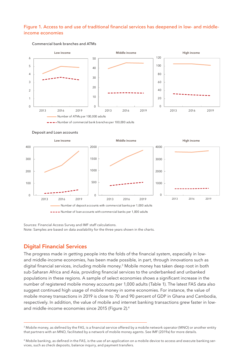#### Figure 1. Access to and use of traditional financial services has deepened in low- and middleincome economies



#### Commercial bank branches and ATMs





#### Deposit and Loan accounts

Sources: Financial Access Survey and IMF staff calculations. Note: Samples are based on data availability for the three years shown in the charts.

# **Digital Financial Services**

The progress made in getting people into the folds of the financial system, especially in lowand middle-income economies, has been made possible, in part, through innovations such as digital financial services, including mobile money.<sup>3</sup> Mobile money has taken deep root in both sub-Saharan Africa and Asia, providing financial services to the underbanked and unbanked populations in these regions. A sample of select economies shows a significant increase in the number of registered mobile money accounts per 1,000 adults (Table 1). The latest FAS data also suggest continued high usage of mobile money in some economies. For instance, the value of mobile money transactions in 2019 is close to 70 and 90 percent of GDP in Ghana and Cambodia, respectively. In addition, the value of mobile and internet banking transactions grew faster in lowand middle-income economies since 2015 (Figure 2).4

<sup>&</sup>lt;sup>3</sup> Mobile money, as defined by the FAS, is a financial service offered by a mobile network operator (MNO) or another entity that partners with an MNO, facilitated by a network of mobile money agents. See IMF (2019a) for more details.

<sup>4</sup> Mobile banking, as defined in the FAS, is the use of an application on a mobile device to access and execute banking services, such as check deposits, balance inquiry, and payment transfers.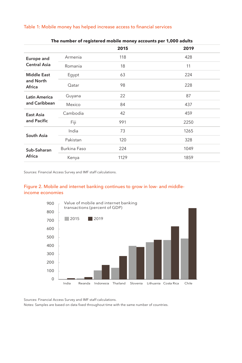#### Table 1: Mobile money has helped increase access to financial services

|                                           |              | 2015 | 2019 |
|-------------------------------------------|--------------|------|------|
| Europe and<br><b>Central Asia</b>         | Armenia      | 118  | 428  |
|                                           | Romania      | 18   | 11   |
| <b>Middle East</b><br>and North<br>Africa | Egypt        | 63   | 224  |
|                                           | Qatar        | 98   | 228  |
| <b>Latin America</b><br>and Caribbean     | Guyana       | 22   | 87   |
|                                           | Mexico       | 84   | 437  |
| East Asia<br>and Pacific                  | Cambodia     | 42   | 459  |
|                                           | Fiji         | 991  | 2250 |
| South Asia                                | India        | 73   | 1265 |
|                                           | Pakistan     | 120  | 328  |
| Sub-Saharan<br>Africa                     | Burkina Faso | 224  | 1049 |
|                                           | Kenya        | 1129 | 1859 |

#### **The number of registered mobile money accounts per 1,000 adults**

Sources: Financial Access Survey and IMF staff calculations.

#### Figure 2. Mobile and internet banking continues to grow in low- and middleincome economies



Sources: Financial Access Survey and IMF staff calculations.

Notes: Samples are based on data fixed throughout time with the same number of countries.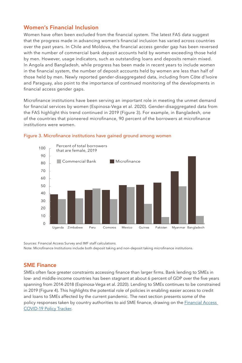# **Women's Financial Inclusion**

Women have often been excluded from the financial system. The latest FAS data suggest that the progress made in advancing women's financial inclusion has varied across countries over the past years. In Chile and Moldova, the financial access gender gap has been reversed with the number of commercial bank deposit accounts held by women exceeding those held by men. However, usage indicators, such as outstanding loans and deposits remain mixed. In Angola and Bangladesh, while progress has been made in recent years to include women in the financial system, the number of deposit accounts held by women are less than half of those held by men. Newly reported gender-disaggregated data, including from Côte d'Ivoire and Paraguay, also point to the importance of continued monitoring of the developments in financial access gender gaps.

Microfinance institutions have been serving an important role in meeting the unmet demand for financial services by women (Espinosa-Vega et al. 2020). Gender-disaggregated data from the FAS highlight this trend continued in 2019 (Figure 3). For example, in Bangladesh, one of the countries that pioneered microfinance, 90 percent of the borrowers at microfinance institutions were women.



#### Figure 3. Microfinance institutions have gained ground among women

Sources: Financial Access Survey and IMF staff calculations. Note: Microfinance Institutions include both deposit taking and non-deposit taking microfinance institutions.

# **SME Finance**

SMEs often face greater constraints accessing finance than larger firms. Bank lending to SMEs in low- and middle-income countries has been stagnant at about 6 percent of GDP over the five years spanning from 2014-2018 (Espinosa-Vega et al. 2020). Lending to SMEs continues to be constrained in 2019 (Figure 4). This highlights the potential role of policies in enabling easier access to credit and loans to SMEs affected by the current pandemic. The next section presents some of the policy responses taken by country authorities to aid SME finance, drawing on the Financial Access COVID-19 Policy Tracker.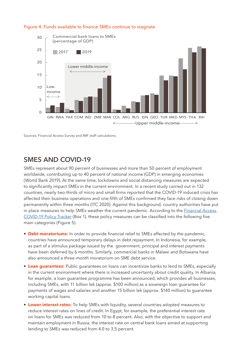

## Figure 4. Funds available to finance SMEs continue to stagnate

Sources: Financial Access Survey and IMF staff calculations.

# **SMES AND COVID-19**

SMEs represent about 90 percent of businesses and more than 50 percent of employment worldwide, contributing up to 40 percent of national income (GDP) in emerging economies (World Bank 2019). At the same time, lockdowns and social distancing measures are expected to significantly impact SMEs in the current environment. In a recent study carried out in 132 countries, nearly two-thirds of micro and small firms reported that the COVID-19 induced crisis has affected their business operations and one-fifth of SMEs confirmed they face risks of closing down permanently within three months (ITC 2020). Against this background, country authorities have put in place measures to help SMEs weather the current pandemic. According to the *Financial Access* COVID-19 Policy Tracker (Box 1), these policy measures can be classified into the following five main categories (Figure 5).

- **• Debt moratoriums:** In order to provide financial relief to SMEs affected by the pandemic, countries have announced temporary delays in debt repayment. In Indonesia, for example, as part of a stimulus package issued by the government, principal and interest payments have been deferred by 6 months. Similarly, commercial banks in Malawi and Botswana have also announced a three-month moratorium on SME debt service.
- **• Loan guarantees:** Public guarantees on loans can incentivize banks to lend to SMEs, especially in the current environment where there is increased uncertainty about credit quality. In Albania, for example, a loan guarantee programme has been announced, which provides all businesses, including SMEs, with 11 billion lek (approx. \$100 million) as a sovereign loan guarantee for payments of wages and salaries and another 15 billion lek (approx. \$140 million) to guarantee working capital loans.
- **• Lower interest rates:** To help SMEs with liquidity, several countries adopted measures to reduce interest rates on lines of credit. In Egypt, for example, the preferential interest rate on loans for SMEs was reduced from 10 to 8 percent. Also, with the objective to support and maintain employment in Russia, the interest rate on central bank loans aimed at supporting lending to SMEs was reduced from 4.0 to 3.5 percent.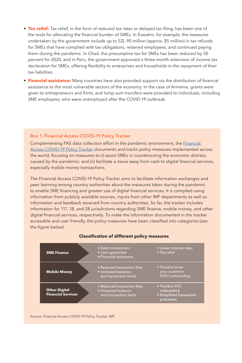- **• Tax relief:** Tax relief, in the form of reduced tax rates or delayed tax filing, has been one of the tools for alleviating the financial burden of SMEs. In Eswatini, for example, the measures undertaken by the government include up to SZL 90 million (approx. \$5 million) in tax refunds for SMEs that have complied with tax obligations, retained employees, and continued paying them during the pandemic. In Chad, the presumptive tax for SMEs has been reduced by 50 percent for 2020, and in Peru, the government approved a three-month extension of income tax declaration for SMEs, offering flexibility to enterprises and households in the repayment of their tax liabilities.
- **• Financial assistance:** Many countries have also provided support via the distribution of financial assistance to the most vulnerable sectors of the economy. In the case of Armenia, grants were given to entrepreneurs and firms, and lump-sum transfers were provided to individuals, including SME employees, who were unemployed after the COVID-19 outbreak.

### Box 1. Financial Access COVID-19 Policy Tracker

Complementing FAS data collection effort in the pandemic environment, the Financial Access COVID-19 Policy Tracker documents and tracks policy measures implemented across the world, focusing on measures to (i) assist SMEs in counteracting the economic distress caused by the pandemic; and (ii) facilitate a move away from cash to digital financial services, especially mobile money transactions.

The Financial Access COVID-19 Policy Tracker aims to facilitate information exchanges and peer learning among country authorities about the measures taken during the pandemic to enable SME financing and greater use of digital financial services. It is compiled using information from publicly available sources, inputs from other IMF departments as well as information and feedback received from country authorities. So far, the tracker includes information for 117, 18, and 28 jurisdictions regarding SME finance, mobile money, and other digital financial services, respectively. To make the information documented in the tracker accessible and user friendly, the policy measures have been classified into categories (see the figure below).



#### **Classification of different policy measures**

Source: Financial Access COVID-19 Policy Tracker, IMF.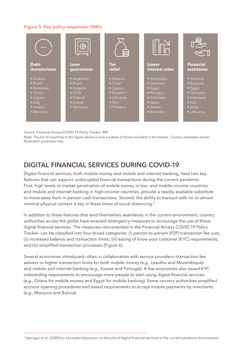## Figure 5. Key policy responses: SMEs



Source: Financial Access COVID-19 Policy Tracker, IMF.

Note: The list of countries in the figure above is only a subset of those included in the tracker. Country examples are for illustration purposes only.

# **DIGITAL FINANCIAL SERVICES DURING COVID-19**

Digital financial services, both mobile money and mobile and internet banking, have two key features that can support undisrupted financial transactions during the current pandemic. First, high levels of market penetration of mobile money in low- and middle-income countries and mobile and internet banking in high-income countries, provide a readily available substitute to move away from in-person cash transactions. Second, the ability to transact with no or almost minimal physical contact is key in these times of social distancing.<sup>5</sup>

In addition to these features that lend themselves seamlessly in the current environment, country authorities across the globe have enacted emergency measures to encourage the use of these digital financial services. The measures—documented in the Financial Access COVID-19 Policy Tracker—can be classified into four broad categories: (i) person-to-person (P2P) transaction fee cuts; (ii) increased balance and transaction limits; (iii) easing of know your customer (KYC) requirements; and (iv) simplified transaction processes (Figure 6).

Several economies introduced—often in collaboration with service providers—transaction fee waivers or higher transaction limits for both mobile money (e.g., Lesotho and Mozambique) and mobile and internet banking (e.g., Kuwait and Portugal). A few economies also eased KYC onboarding requirements to encourage more people to start using digital financial services (e.g., Ghana for mobile money and Egypt for mobile banking). Some country authorities simplified account opening procedures and eased requirements to accept mobile payments by merchants (e.g., Morocco and Bolivia).

<sup>5</sup> See Agur et al. (2020) for a broader discussion on the role of digital financial services in the current pandemic environment.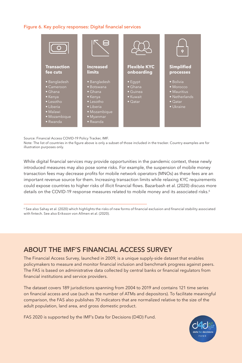## Figure 6. Key policy responses: Digital financial services



Source: Financial Access COVID-19 Policy Tracker, IMF.

Note: The list of countries in the figure above is only a subset of those included in the tracker. Country examples are for illustration purposes only.

While digital financial services may provide opportunities in the pandemic context, these newly introduced measures may also pose some risks. For example, the suspension of mobile money transaction fees may decrease profits for mobile network operators (MNOs) as these fees are an important revenue source for them. Increasing transaction limits while relaxing KYC requirements could expose countries to higher risks of illicit financial flows. Bazarbash et al. (2020) discuss more details on the COVID-19 response measures related to mobile money and its associated risks.<sup>6</sup>

<sup>6</sup> See also Sahay et al. (2020) which highlights the risks of new forms of financial exclusion and financial stability associated with fintech. See also Eriksson von Allmen et al. (2020).

# **ABOUT THE IMF'S FINANCIAL ACCESS SURVEY**

The Financial Access Survey, launched in 2009, is a unique supply-side dataset that enables policymakers to measure and monitor financial inclusion and benchmark progress against peers. The FAS is based on administrative data collected by central banks or financial regulators from financial institutions and service providers.

The dataset covers 189 jurisdictions spanning from 2004 to 2019 and contains 121 time series on financial access and use (such as the number of ATMs and depositors). To facilitate meaningful comparison, the FAS also publishes 70 indicators that are normalized relative to the size of the adult population, land area, and gross domestic product.

FAS 2020 is supported by the IMF's Data for Decisions (D4D) Fund.